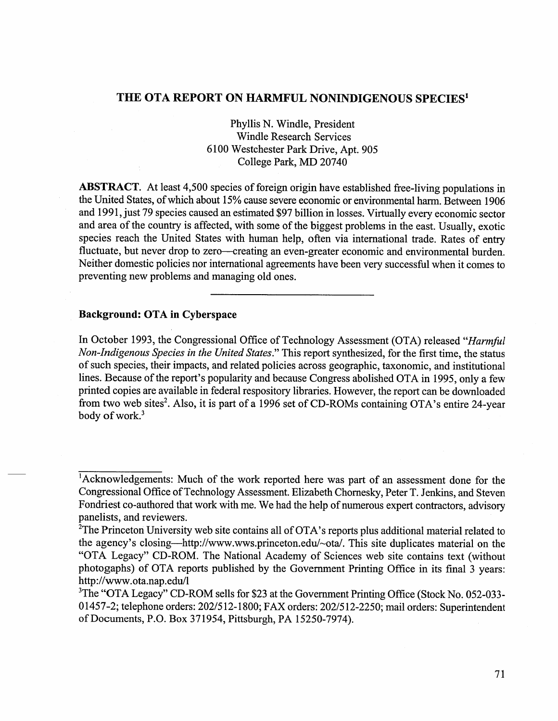## THE OTA REPORT ON HARMFUL NONINDIGENOUS SPECIES<sup>1</sup>

Phyllis N. Windle, President Windle Research Services 6100 Westchester Park Drive, Apt. 905 College Park, MD 20740

ABSTRACT. At least 4,500 species of foreign origin have established free-living populations in the United States, of which about 15% cause severe economic or environmental harm. Between 1906 and 1991, just 79 species caused an estimated \$97 billion in losses. Virtually every economic sector and area of the country is affected, with some of the biggest problems in the east. Usually, exotic species reach the United States with human help, often via international trade. Rates of entry fluctuate, but never drop to zero-creating an even-greater economic and environmental burden. Neither domestic policies nor international agreements have been very successful when it comes to preventing new problems and managing old ones.

## Background: OTA in Cyberspace

In October 1993, the Congressional Office of Technology Assessment (OTA) released *"Harmful Non-Indigenous Species in the United States."* This report synthesized, for the first time, the status of such species, their impacts, and related policies across geographic, taxonomic, and institutional lines. Because of the report's popularity and because Congress abolished OTA in 1995, only a few printed copies are available in federal respository libraries. However, the report can be downloaded from two web sites<sup>2</sup>. Also, it is part of a 1996 set of CD-ROMs containing OTA's entire 24-year body of work.<sup>3</sup>

<sup>1</sup> Acknowledgements: Much of the work reported here was part of an assessment done for the Congressional Office of Technology Assessment. Elizabeth Chornesky, Peter T. Jenkins, and Steven Fondriest co-authored that work with me. We had the help of numerous expert contractors, advisory panelists, and reviewers.

<sup>&</sup>lt;sup>2</sup>The Princeton University web site contains all of OTA's reports plus additional material related to the agency's closing—http://www.wws.princeton.edu/~ota/. This site duplicates material on the "OTA Legacy" CD-ROM. The National Academy of Sciences web site contains text (without photogaphs) of OTA reports published by the Government Printing Office in its final 3 years: http://www.ota.nap.edu/l

<sup>&</sup>lt;sup>3</sup>The "OTA Legacy" CD-ROM sells for \$23 at the Government Printing Office (Stock No. 052-033-01457-2; telephone orders: 202/512-1800; FAX orders: 202/512-2250; mail orders: Superintendent ofDocuments, P.O. Box 371954, Pittsburgh, PA 15250-7974).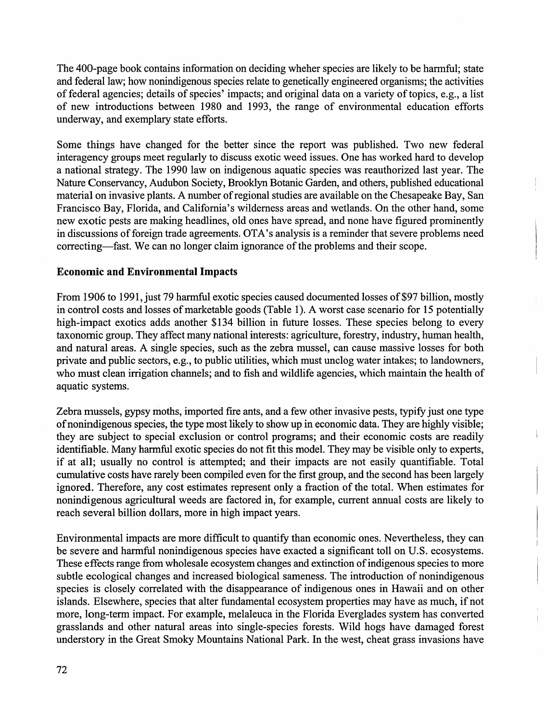The 400-page book contains information on deciding wheher species are likely to be harmful; state and federal law; how nonindigenous species relate to genetically engineered organisms; the activities of federal agencies; details of species' impacts; and original data on a variety oftopics, e.g., a list of new introductions between 1980 and 1993, the range of environmental education efforts underway, and exemplary state efforts.

Some things have changed for the better since the report was published. Two new federal interagency groups meet regularly to discuss exotic weed issues. One has worked hard to develop a national strategy. The 1990 law on indigenous aquatic species was reauthorized last year. The Nature Conservancy, Audubon Society, Brooklyn Botanic Garden, and others, published educational material on invasive plants. A number of regional studies are available on the Chesapeake Bay, San Francisco Bay, Florida, and California's wilderness areas and wetlands. On the other hand, some new exotic pests are making headlines, old ones have spread, and none have figured prominently in discussions of foreign trade agreements. OTA's analysis is a reminder that severe problems need correcting—fast. We can no longer claim ignorance of the problems and their scope.

## **Economic and Environmental Impacts**

From 1906 to 1991, just 79 harmful exotic species caused documented losses of \$97 billion, mostly in control costs and losses of marketable goods (Table 1). A worst case scenario for 15 potentially high-impact exotics adds another \$134 billion in future losses. These species belong to every taxonomic group. They affect many national interests: agriculture, forestry, industry, human health, and natural areas. A single species, such as the zebra mussel, can cause massive losses for both private and public sectors, e.g., to public utilities, which must unclog water intakes; to landowners, who must clean irrigation channels; and to fish and wildlife agencies, which maintain the health of aquatic systems.

Zebra mussels, gypsy moths, imported fire ants, and a few other invasive pests, typify just one type of nonindigenous species, the type most likely to show up in economic data. They are highly visible; they are subject to special exclusion or control programs; and their economic costs are readily identifiable. Many harmful exotic species do not fit this model. They may be visible only to experts, if at all; usually no control is attempted; and their impacts are not easily quantifiable. Total cumulative costs have rarely been compiled even for the first group, and the second has been largely ignored. Therefore, any cost estimates represent only a fraction of the total. When estimates for nonindigenous agricultural weeds are factored in, for example, current annual costs are likely to reach several billion dollars, more in high impact years.

Environmental impacts are more difficult to quantify than economic ones. Nevertheless, they can be severe and harmful nonindigenous species have exacted a significant toll on U.S. ecosystems. These effects range from wholesale ecosystem changes and extinction of indigenous species to more subtle ecological changes and increased biological sameness. The introduction of nonindigenous species is closely correlated with the disappearance of indigenous ones in Hawaii and on other islands. Elsewhere, species that alter fundamental ecosystem properties may have as much, if not more, long-term impact. For example, melaleuca in the Florida Everglades system has converted grasslands and other natural areas into single-species forests. Wild hogs have damaged forest understory in the Great Smoky Mountains National Park. In the west, cheat grass invasions have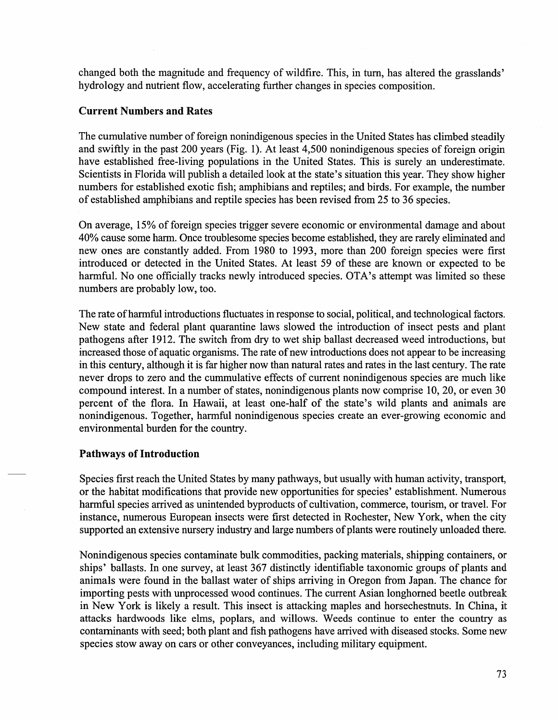changed both the magnitude and frequency of wildfire. This, in tum, has altered the grasslands' hydrology and nutrient flow, accelerating further changes in species composition.

#### Current Numbers and Rates

The cumulative number of foreign nonindigenous species in the United States has climbed steadily and swiftly in the past 200 years (Fig. 1). At least 4,500 nonindigenous species of foreign origin have established free-living populations in the United States. This is surely an underestimate. Scientists in Florida will publish a detailed look at the state's situation this year. They show higher numbers for established exotic fish; amphibians and reptiles; and birds. For example, the number of established amphibians and reptile species has been revised from 25 to 36 species.

On average, 15% of foreign species trigger severe economic or environmental damage and about 40% cause some harm. Once troublesome species become established, they are rarely eliminated and new ones are constantly added. From 1980 to 1993, more than 200 foreign species were first introduced or detected in the United States. At least 59 of these are known or expected to be harmful. No one officially tracks newly introduced species. OTA's attempt was limited so these numbers are probably low, too.

The rate of harmful introductions fluctuates in response to social, political, and technological factors. New state and federal plant quarantine laws slowed the introduction of insect pests and plant pathogens after 1912. The switch from dry to wet ship ballast decreased weed introductions, but increased those of aquatic organisms. The rate of new introductions does not appear to be increasing in this century, although it is far higher now than natural rates and rates in the last century. The rate never drops to zero and the cummulative effects of current nonindigenous species are much like compound interest. In a number of states, nonindigenous plants now comprise 10, 20, or even 30 percent of the flora. In Hawaii, at least one-half of the state's wild plants and animals are nonindigenous. Together, harmful nonindigenous species create an ever-growing economic and environmental burden for the country.

#### Pathways of Introduction

Species first reach the United States by many pathways, but usually with human activity, transport, or the habitat modifications that provide new opportunities for species' establishment. Numerous harmful species arrived as unintended byproducts of cultivation, commerce, tourism, or travel. For instance, numerous European insects were first detected in Rochester, New York, when the city supported an extensive nursery industry and large numbers of plants were routinely unloaded there.

Nonindigenous species contaminate bulk commodities, packing materials, shipping containers, or ships' ballasts. In one survey, at least 367 distinctly identifiable taxonomic groups of plants and animals were found in the ballast water of ships arriving in Oregon from Japan. The chance for importing pests with unprocessed wood continues. The current Asian longhomed beetle outbreak in New York is likely a result. This insect is attacking maples and horsechestnuts. In China, it attacks hardwoods like elms, poplars, and willows. Weeds continue to enter the country as contaminants with seed; both plant and fish pathogens have arrived with diseased stocks. Some new species stow away on cars or other conveyances, including military equipment.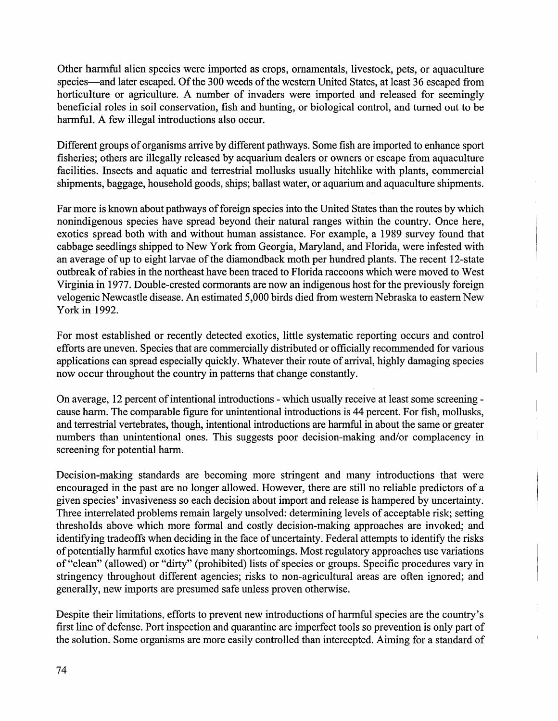Other harmful alien species were imported as crops, ornamentals, livestock, pets, or aquaculture species-and later escaped. Of the 300 weeds of the western United States, at least 36 escaped from horticulture or agriculture. A number of invaders were imported and released for seemingly beneficial roles in soil conservation, fish and hunting, or biological control, and turned out to be harmful. A few illegal introductions also occur.

Different groups of organisms arrive by different pathways. Some fish are imported to enhance sport fisheries; others are illegally released by acquarium dealers or owners or escape from aquaculture facilities. Insects and aquatic and terrestrial mollusks usually hitchlike with plants, commercial shipments, baggage, household goods, ships; ballast water, or aquarium and aquaculture shipments.

Far more is known about pathways of foreign species into the United States than the routes by which nonindigenous species have spread beyond their natural ranges within the country. Once here, exotics spread both with and without human assistance. For example, a 1989 survey found that cabbage seedlings shipped to New York from Georgia, Maryland, and Florida, were infested with an average of up to eight larvae of the diamondback moth per hundred plants. The recent 12-state outbreak of rabies in the northeast have been traced to Florida raccoons which were moved to West Virginia in 1977. Double-crested cormorants are now an indigenous host for the previously foreign velogenic Newcastle disease. An estimated 5,000 birds died from western Nebraska to eastern New York in 1992.

For most established or recently detected exotics, little systematic reporting occurs and control efforts are uneven. Species that are commercially distributed or officially recommended for various applications can spread especially quickly. Whatever their route of arrival, highly damaging species now occur throughout the country in patterns that change constantly.

On average, 12 percent of intentional introductions- which usually receive at least some screeningcause harm. The comparable figure for unintentional introductions is 44 percent. For fish, mollusks, and terrestrial vertebrates, though, intentional introductions are harmful in about the same or greater numbers than unintentional ones. This suggests poor decision-making and/or complacency in screening for potential harm.

Decision-making standards are becoming more stringent and many introductions that were encouraged in the past are no longer allowed. However, there are still no reliable predictors of a given species' invasiveness so each decision about import and release is hampered by uncertainty. Three interrelated problems remain largely unsolved: determining levels of acceptable risk; setting thresholds above which more formal and costly decision-making approaches are invoked; and identifying tradeoffs when deciding in the face of uncertainty. Federal attempts to identify the risks of potentially harmful exotics have many shortcomings. Most regulatory approaches use variations of "clean" (allowed) or "dirty" (prohibited) lists of species or groups. Specific procedures vary in stringency throughout different agencies; risks to non-agricultural areas are often ignored; and generally, new imports are presumed safe unless proven otherwise.

Despite their limitations, efforts to prevent new introductions of harmful species are the country's first line of defense. Port inspection and quarantine are imperfect tools so prevention is only part of the solution. Some organisms are more easily controlled than intercepted. Aiming for a standard of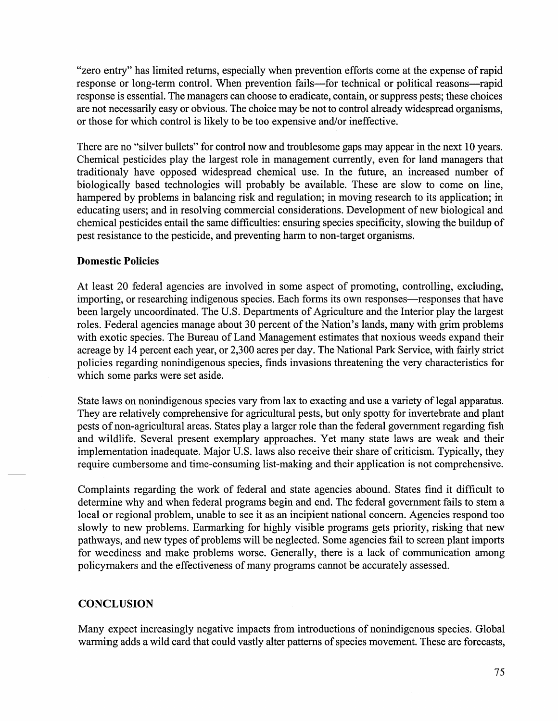"zero entry" has limited returns, especially when prevention efforts come at the expense of rapid response or long-term control. When prevention fails-for technical or political reasons--rapid response is essential. The managers can choose to eradicate, contain, or suppress pests; these choices are not necessarily easy or obvious. The choice may be not to control already widespread organisms, or those for which control is likely to be too expensive and/or ineffective.

There are no "silver bullets" for control now and troublesome gaps may appear in the next 10 years. Chemical pesticides play the largest role in management currently, even for land managers that traditionaly have opposed widespread chemical use. In the future, an increased number of biologically based technologies will probably be available. These are slow to come on line, hampered by problems in balancing risk and regulation; in moving research to its application; in educating users; and in resolving commercial considerations. Development of new biological and chemical pesticides entail the same difficulties: ensuring species specificity, slowing the buildup of pest resistance to the pesticide, and preventing harm to non-target organisms.

## **Domestic Policies**

At least 20 federal agencies are involved in some aspect of promoting, controlling, excluding, importing, or researching indigenous species. Each forms its own responses—responses that have been largely uncoordinated. The U.S. Departments of Agriculture and the Interior play the largest roles. Federal agencies manage about 30 percent of the Nation's lands, many with grim problems with exotic species. The Bureau of Land Management estimates that noxious weeds expand their acreage by 14 percent each year, or 2,300 acres per day. The National Park Service, with fairly strict policies regarding nonindigenous species, finds invasions threatening the very characteristics for which some parks were set aside.

State laws on nonindigenous species vary from lax to exacting and use a variety of legal apparatus. They are relatively comprehensive for agricultural pests, but only spotty for invertebrate and plant pests of non-agricultural areas. States play a larger role than the federal government regarding fish and wildlife. Several present exemplary approaches. Yet many state laws are weak and their implementation inadequate. Major U.S. laws also receive their share of criticism. Typically, they require cumbersome and time-consuming list-making and their application is not comprehensive.

Complaints regarding the work of federal and state agencies abound. States find it difficult to determine why and when federal programs begin and end. The federal government fails to stem a local or regional problem, unable to see it as an incipient national concern. Agencies respond too slowly to new problems. Earmarking for highly visible programs gets priority, risking that new pathways, and new types of problems will be neglected. Some agencies fail to screen plant imports for weediness and make problems worse. Generally, there is a lack of communication among policymakers and the effectiveness of many programs cannot be accurately assessed.

# **CONCLUSION**

Many expect increasingly negative impacts from introductions of nonindigenous species. Global warming adds a wild card that could vastly alter patterns of species movement. These are forecasts,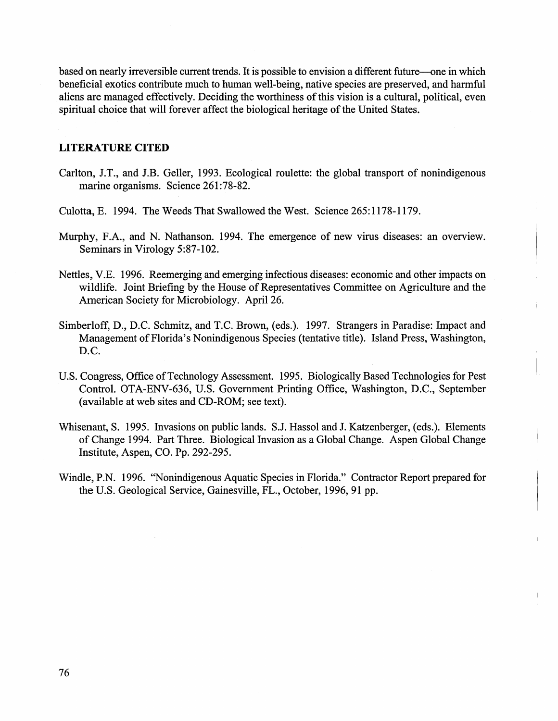based on nearly irreversible current trends. It is possible to envision a different future-one in which beneficial exotics contribute much to human well-being, native species are preserved, and harmful aliens are managed effectively. Deciding the worthiness of this vision is a cultural, political, even spiritual choice that will forever affect the biological heritage of the United States.

#### **LITERATURE CITED**

- Carlton, J.T., and J.B. Geller, 1993. Ecological roulette: the global transport of nonindigenous marine organisms. Science 261:78-82.
- Culotta, E. 1994. The Weeds That Swallowed the West. Science 265: 1178-1179.
- Murphy, F.A., and N. Nathanson. 1994. The emergence of new virus diseases: an overview. Seminars in Virology 5:87-102.
- Nettles, V.E. 1996. Reemerging and emerging infectious diseases: economic and other impacts on wildlife. Joint Briefing by the House of Representatives Committee on Agriculture and the American Society for Microbiology. April26.
- Simberloff, D., D.C. Schmitz, and T.C. Brown, (eds.). 1997. Strangers in Paradise: Impact and Management of Florida's Nonindigenous Species (tentative title). Island Press, Washington, D.C.
- U.S. Congress, Office of Technology Assessment. 1995. Biologically Based Technologies for Pest Control. OTA-ENV-636, U.S. Government Printing Office, Washington, D.C., September (available at web sites and CD-ROM; see text).
- Whisenant, S. 1995. Invasions on public lands. S.J. Hassol and J. Katzenberger, (eds.). Elements of Change 1994. Part Three. Biological Invasion as a Global Change. Aspen Global Change Institute, Aspen, CO. Pp. 292-295.
- Windle, P.N. 1996. "Nonindigenous Aquatic Species in Florida." Contractor Report prepared for the U.S. Geological Service, Gainesville, FL., October, 1996, 91 pp.